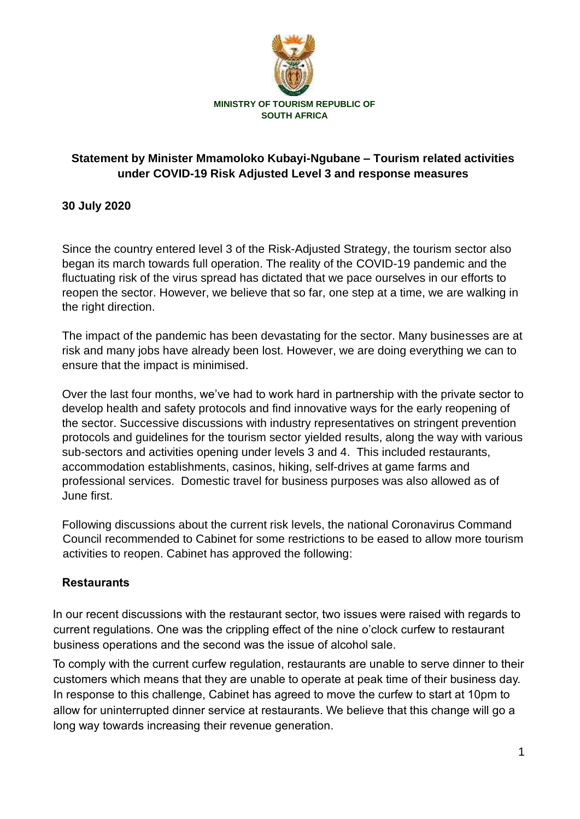

# **Statement by Minister Mmamoloko Kubayi-Ngubane – Tourism related activities under COVID-19 Risk Adjusted Level 3 and response measures**

## **30 July 2020**

Since the country entered level 3 of the Risk-Adjusted Strategy, the tourism sector also began its march towards full operation. The reality of the COVID-19 pandemic and the fluctuating risk of the virus spread has dictated that we pace ourselves in our efforts to reopen the sector. However, we believe that so far, one step at a time, we are walking in the right direction.

The impact of the pandemic has been devastating for the sector. Many businesses are at risk and many jobs have already been lost. However, we are doing everything we can to ensure that the impact is minimised.

Over the last four months, we've had to work hard in partnership with the private sector to develop health and safety protocols and find innovative ways for the early reopening of the sector. Successive discussions with industry representatives on stringent prevention protocols and guidelines for the tourism sector yielded results, along the way with various sub-sectors and activities opening under levels 3 and 4. This included restaurants, accommodation establishments, casinos, hiking, self-drives at game farms and professional services. Domestic travel for business purposes was also allowed as of June first.

Following discussions about the current risk levels, the national Coronavirus Command Council recommended to Cabinet for some restrictions to be eased to allow more tourism activities to reopen. Cabinet has approved the following:

#### **Restaurants**

In our recent discussions with the restaurant sector, two issues were raised with regards to current regulations. One was the crippling effect of the nine o'clock curfew to restaurant business operations and the second was the issue of alcohol sale.

To comply with the current curfew regulation, restaurants are unable to serve dinner to their customers which means that they are unable to operate at peak time of their business day. In response to this challenge, Cabinet has agreed to move the curfew to start at 10pm to allow for uninterrupted dinner service at restaurants. We believe that this change will go a long way towards increasing their revenue generation.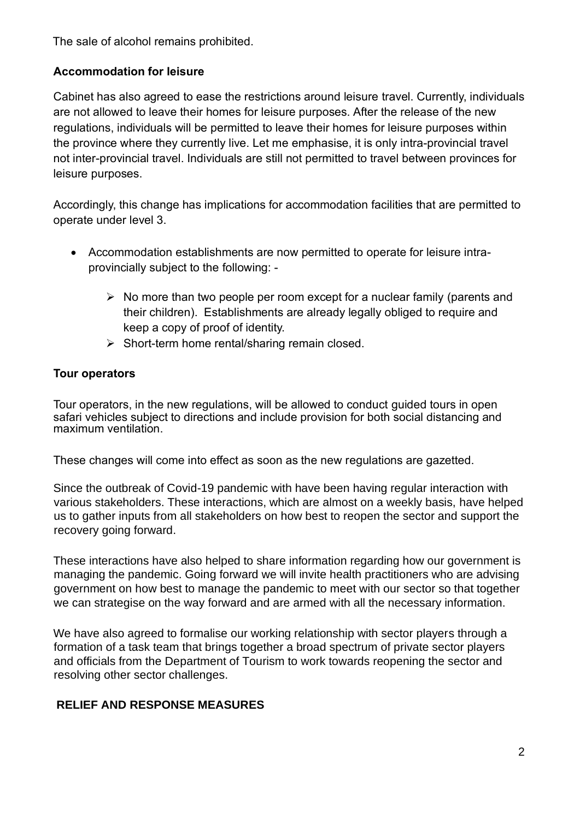The sale of alcohol remains prohibited.

## **Accommodation for leisure**

Cabinet has also agreed to ease the restrictions around leisure travel. Currently, individuals are not allowed to leave their homes for leisure purposes. After the release of the new regulations, individuals will be permitted to leave their homes for leisure purposes within the province where they currently live. Let me emphasise, it is only intra-provincial travel not inter-provincial travel. Individuals are still not permitted to travel between provinces for leisure purposes.

Accordingly, this change has implications for accommodation facilities that are permitted to operate under level 3.

- Accommodation establishments are now permitted to operate for leisure intraprovincially subject to the following: -
	- ➢ No more than two people per room except for a nuclear family (parents and their children). Establishments are already legally obliged to require and keep a copy of proof of identity.
	- ➢ Short-term home rental/sharing remain closed.

#### **Tour operators**

Tour operators, in the new regulations, will be allowed to conduct guided tours in open safari vehicles subject to directions and include provision for both social distancing and maximum ventilation.

These changes will come into effect as soon as the new regulations are gazetted.

Since the outbreak of Covid-19 pandemic with have been having regular interaction with various stakeholders. These interactions, which are almost on a weekly basis, have helped us to gather inputs from all stakeholders on how best to reopen the sector and support the recovery going forward.

These interactions have also helped to share information regarding how our government is managing the pandemic. Going forward we will invite health practitioners who are advising government on how best to manage the pandemic to meet with our sector so that together we can strategise on the way forward and are armed with all the necessary information.

We have also agreed to formalise our working relationship with sector players through a formation of a task team that brings together a broad spectrum of private sector players and officials from the Department of Tourism to work towards reopening the sector and resolving other sector challenges.

#### **RELIEF AND RESPONSE MEASURES**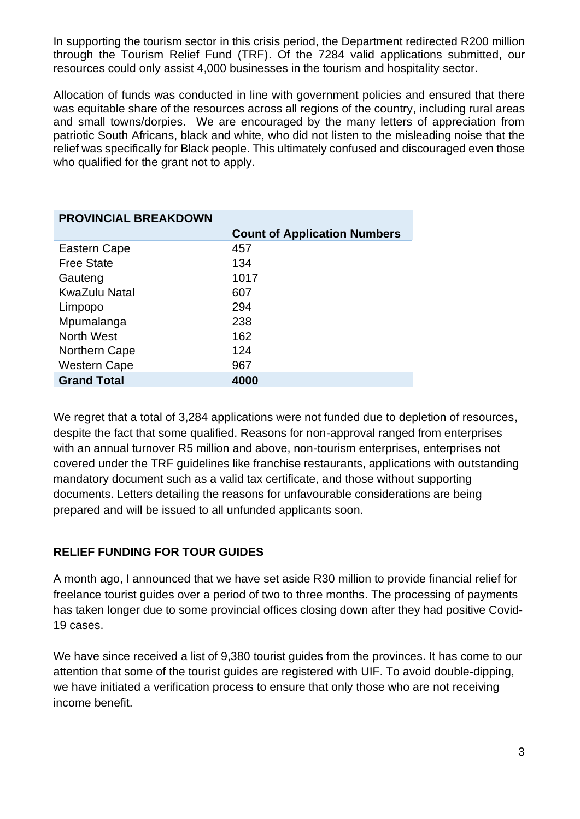In supporting the tourism sector in this crisis period, the Department redirected R200 million through the Tourism Relief Fund (TRF). Of the 7284 valid applications submitted, our resources could only assist 4,000 businesses in the tourism and hospitality sector.

Allocation of funds was conducted in line with government policies and ensured that there was equitable share of the resources across all regions of the country, including rural areas and small towns/dorpies. We are encouraged by the many letters of appreciation from patriotic South Africans, black and white, who did not listen to the misleading noise that the relief was specifically for Black people. This ultimately confused and discouraged even those who qualified for the grant not to apply.

| <b>PROVINCIAL BREAKDOWN</b> |                                     |
|-----------------------------|-------------------------------------|
|                             | <b>Count of Application Numbers</b> |
| Eastern Cape                | 457                                 |
| <b>Free State</b>           | 134                                 |
| Gauteng                     | 1017                                |
| <b>KwaZulu Natal</b>        | 607                                 |
| Limpopo                     | 294                                 |
| Mpumalanga                  | 238                                 |
| <b>North West</b>           | 162                                 |
| Northern Cape               | 124                                 |
| <b>Western Cape</b>         | 967                                 |
| <b>Grand Total</b>          | 4000                                |

We regret that a total of 3,284 applications were not funded due to depletion of resources, despite the fact that some qualified. Reasons for non-approval ranged from enterprises with an annual turnover R5 million and above, non-tourism enterprises, enterprises not covered under the TRF guidelines like franchise restaurants, applications with outstanding mandatory document such as a valid tax certificate, and those without supporting documents. Letters detailing the reasons for unfavourable considerations are being prepared and will be issued to all unfunded applicants soon.

#### **RELIEF FUNDING FOR TOUR GUIDES**

A month ago, I announced that we have set aside R30 million to provide financial relief for freelance tourist guides over a period of two to three months. The processing of payments has taken longer due to some provincial offices closing down after they had positive Covid-19 cases.

We have since received a list of 9,380 tourist guides from the provinces. It has come to our attention that some of the tourist guides are registered with UIF. To avoid double-dipping, we have initiated a verification process to ensure that only those who are not receiving income benefit.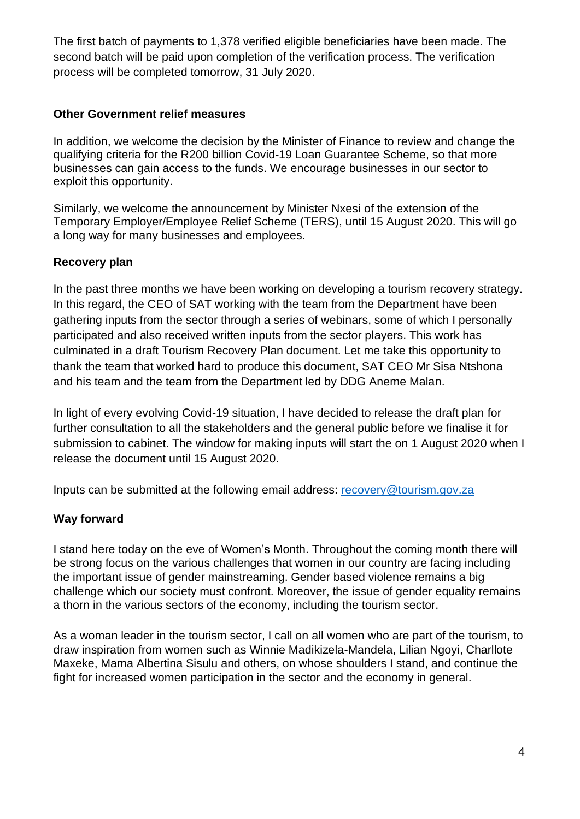The first batch of payments to 1,378 verified eligible beneficiaries have been made. The second batch will be paid upon completion of the verification process. The verification process will be completed tomorrow, 31 July 2020.

### **Other Government relief measures**

In addition, we welcome the decision by the Minister of Finance to review and change the qualifying criteria for the R200 billion Covid-19 Loan Guarantee Scheme, so that more businesses can gain access to the funds. We encourage businesses in our sector to exploit this opportunity.

Similarly, we welcome the announcement by Minister Nxesi of the extension of the Temporary Employer/Employee Relief Scheme (TERS), until 15 August 2020. This will go a long way for many businesses and employees.

## **Recovery plan**

In the past three months we have been working on developing a tourism recovery strategy. In this regard, the CEO of SAT working with the team from the Department have been gathering inputs from the sector through a series of webinars, some of which I personally participated and also received written inputs from the sector players. This work has culminated in a draft Tourism Recovery Plan document. Let me take this opportunity to thank the team that worked hard to produce this document, SAT CEO Mr Sisa Ntshona and his team and the team from the Department led by DDG Aneme Malan.

In light of every evolving Covid-19 situation, I have decided to release the draft plan for further consultation to all the stakeholders and the general public before we finalise it for submission to cabinet. The window for making inputs will start the on 1 August 2020 when I release the document until 15 August 2020.

Inputs can be submitted at the following email address: [recovery@tourism.gov.za](mailto:recovery@tourism.gov.za)

#### **Way forward**

I stand here today on the eve of Women's Month. Throughout the coming month there will be strong focus on the various challenges that women in our country are facing including the important issue of gender mainstreaming. Gender based violence remains a big challenge which our society must confront. Moreover, the issue of gender equality remains a thorn in the various sectors of the economy, including the tourism sector.

As a woman leader in the tourism sector, I call on all women who are part of the tourism, to draw inspiration from women such as Winnie Madikizela-Mandela, Lilian Ngoyi, Charllote Maxeke, Mama Albertina Sisulu and others, on whose shoulders I stand, and continue the fight for increased women participation in the sector and the economy in general.